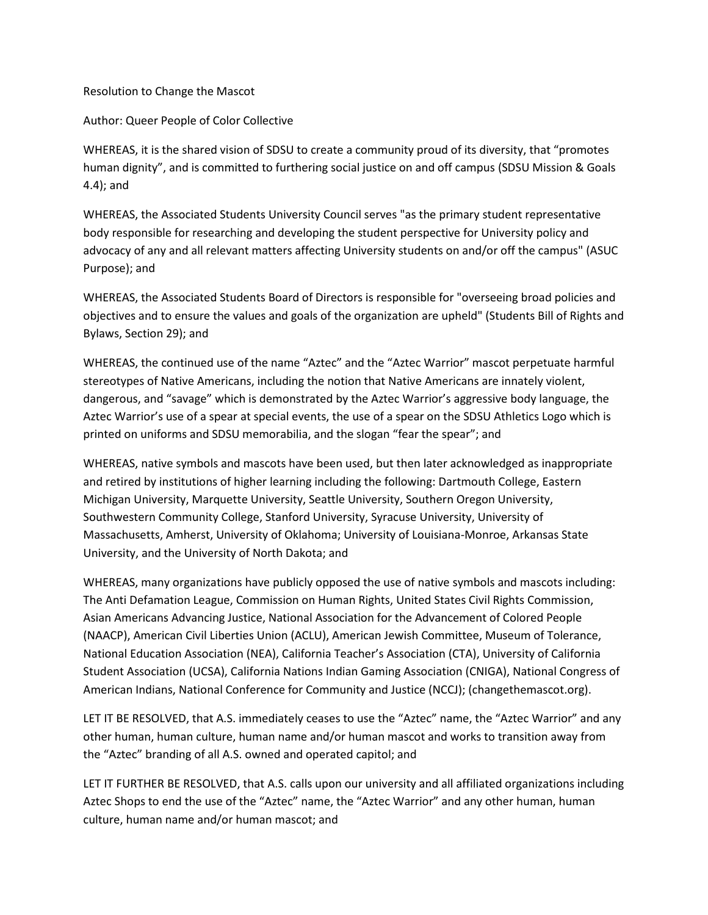Resolution to Change the Mascot

Author: Queer People of Color Collective

WHEREAS, it is the shared vision of SDSU to create a community proud of its diversity, that "promotes human dignity", and is committed to furthering social justice on and off campus (SDSU Mission & Goals 4.4); and

WHEREAS, the Associated Students University Council serves "as the primary student representative body responsible for researching and developing the student perspective for University policy and advocacy of any and all relevant matters affecting University students on and/or off the campus" (ASUC Purpose); and

WHEREAS, the Associated Students Board of Directors is responsible for "overseeing broad policies and objectives and to ensure the values and goals of the organization are upheld" (Students Bill of Rights and Bylaws, Section 29); and

WHEREAS, the continued use of the name "Aztec" and the "Aztec Warrior" mascot perpetuate harmful stereotypes of Native Americans, including the notion that Native Americans are innately violent, dangerous, and "savage" which is demonstrated by the Aztec Warrior's aggressive body language, the Aztec Warrior's use of a spear at special events, the use of a spear on the SDSU Athletics Logo which is printed on uniforms and SDSU memorabilia, and the slogan "fear the spear"; and

WHEREAS, native symbols and mascots have been used, but then later acknowledged as inappropriate and retired by institutions of higher learning including the following: Dartmouth College, Eastern Michigan University, Marquette University, Seattle University, Southern Oregon University, Southwestern Community College, Stanford University, Syracuse University, University of Massachusetts, Amherst, University of Oklahoma; University of Louisiana-Monroe, Arkansas State University, and the University of North Dakota; and

WHEREAS, many organizations have publicly opposed the use of native symbols and mascots including: The Anti Defamation League, Commission on Human Rights, United States Civil Rights Commission, Asian Americans Advancing Justice, National Association for the Advancement of Colored People (NAACP), American Civil Liberties Union (ACLU), American Jewish Committee, Museum of Tolerance, National Education Association (NEA), California Teacher's Association (CTA), University of California Student Association (UCSA), California Nations Indian Gaming Association (CNIGA), National Congress of American Indians, National Conference for Community and Justice (NCCJ); (changethemascot.org).

LET IT BE RESOLVED, that A.S. immediately ceases to use the "Aztec" name, the "Aztec Warrior" and any other human, human culture, human name and/or human mascot and works to transition away from the "Aztec" branding of all A.S. owned and operated capitol; and

LET IT FURTHER BE RESOLVED, that A.S. calls upon our university and all affiliated organizations including Aztec Shops to end the use of the "Aztec" name, the "Aztec Warrior" and any other human, human culture, human name and/or human mascot; and